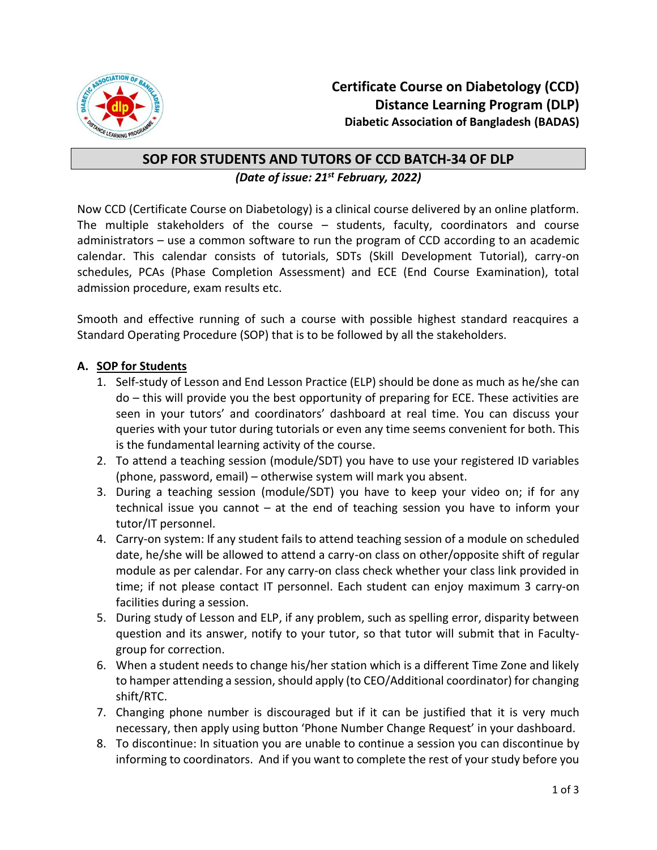

## **SOP FOR STUDENTS AND TUTORS OF CCD BATCH-34 OF DLP** *(Date of issue: 21st February, 2022)*

Now CCD (Certificate Course on Diabetology) is a clinical course delivered by an online platform. The multiple stakeholders of the course – students, faculty, coordinators and course administrators – use a common software to run the program of CCD according to an academic calendar. This calendar consists of tutorials, SDTs (Skill Development Tutorial), carry-on schedules, PCAs (Phase Completion Assessment) and ECE (End Course Examination), total admission procedure, exam results etc.

Smooth and effective running of such a course with possible highest standard reacquires a Standard Operating Procedure (SOP) that is to be followed by all the stakeholders.

## **A. SOP for Students**

- 1. Self-study of Lesson and End Lesson Practice (ELP) should be done as much as he/she can do – this will provide you the best opportunity of preparing for ECE. These activities are seen in your tutors' and coordinators' dashboard at real time. You can discuss your queries with your tutor during tutorials or even any time seems convenient for both. This is the fundamental learning activity of the course.
- 2. To attend a teaching session (module/SDT) you have to use your registered ID variables (phone, password, email) – otherwise system will mark you absent.
- 3. During a teaching session (module/SDT) you have to keep your video on; if for any technical issue you cannot – at the end of teaching session you have to inform your tutor/IT personnel.
- 4. Carry-on system: If any student fails to attend teaching session of a module on scheduled date, he/she will be allowed to attend a carry-on class on other/opposite shift of regular module as per calendar. For any carry-on class check whether your class link provided in time; if not please contact IT personnel. Each student can enjoy maximum 3 carry-on facilities during a session.
- 5. During study of Lesson and ELP, if any problem, such as spelling error, disparity between question and its answer, notify to your tutor, so that tutor will submit that in Facultygroup for correction.
- 6. When a student needs to change his/her station which is a different Time Zone and likely to hamper attending a session, should apply (to CEO/Additional coordinator) for changing shift/RTC.
- 7. Changing phone number is discouraged but if it can be justified that it is very much necessary, then apply using button 'Phone Number Change Request' in your dashboard.
- 8. To discontinue: In situation you are unable to continue a session you can discontinue by informing to coordinators. And if you want to complete the rest of your study before you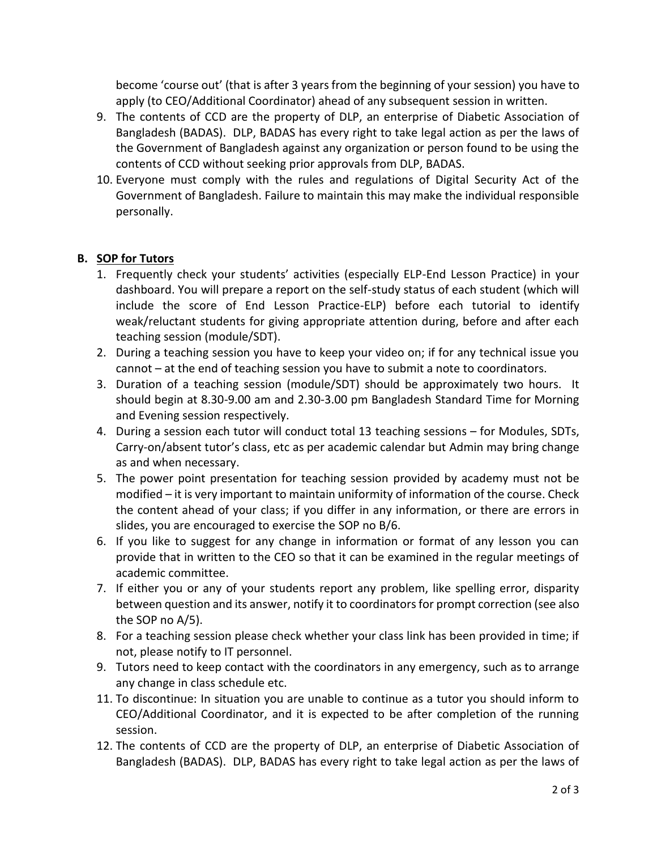become 'course out' (that is after 3 years from the beginning of your session) you have to apply (to CEO/Additional Coordinator) ahead of any subsequent session in written.

- 9. The contents of CCD are the property of DLP, an enterprise of Diabetic Association of Bangladesh (BADAS). DLP, BADAS has every right to take legal action as per the laws of the Government of Bangladesh against any organization or person found to be using the contents of CCD without seeking prior approvals from DLP, BADAS.
- 10. Everyone must comply with the rules and regulations of Digital Security Act of the Government of Bangladesh. Failure to maintain this may make the individual responsible personally.

## **B. SOP for Tutors**

- 1. Frequently check your students' activities (especially ELP-End Lesson Practice) in your dashboard. You will prepare a report on the self-study status of each student (which will include the score of End Lesson Practice-ELP) before each tutorial to identify weak/reluctant students for giving appropriate attention during, before and after each teaching session (module/SDT).
- 2. During a teaching session you have to keep your video on; if for any technical issue you cannot – at the end of teaching session you have to submit a note to coordinators.
- 3. Duration of a teaching session (module/SDT) should be approximately two hours. It should begin at 8.30-9.00 am and 2.30-3.00 pm Bangladesh Standard Time for Morning and Evening session respectively.
- 4. During a session each tutor will conduct total 13 teaching sessions for Modules, SDTs, Carry-on/absent tutor's class, etc as per academic calendar but Admin may bring change as and when necessary.
- 5. The power point presentation for teaching session provided by academy must not be modified – it is very important to maintain uniformity of information of the course. Check the content ahead of your class; if you differ in any information, or there are errors in slides, you are encouraged to exercise the SOP no B/6.
- 6. If you like to suggest for any change in information or format of any lesson you can provide that in written to the CEO so that it can be examined in the regular meetings of academic committee.
- 7. If either you or any of your students report any problem, like spelling error, disparity between question and its answer, notify it to coordinators for prompt correction (see also the SOP no A/5).
- 8. For a teaching session please check whether your class link has been provided in time; if not, please notify to IT personnel.
- 9. Tutors need to keep contact with the coordinators in any emergency, such as to arrange any change in class schedule etc.
- 11. To discontinue: In situation you are unable to continue as a tutor you should inform to CEO/Additional Coordinator, and it is expected to be after completion of the running session.
- 12. The contents of CCD are the property of DLP, an enterprise of Diabetic Association of Bangladesh (BADAS). DLP, BADAS has every right to take legal action as per the laws of